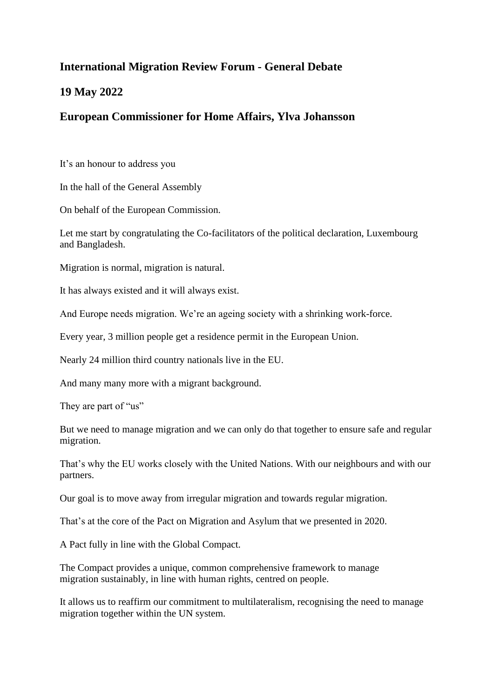## **International Migration Review Forum - General Debate**

## **19 May 2022**

## **European Commissioner for Home Affairs, Ylva Johansson**

It's an honour to address you

In the hall of the General Assembly

On behalf of the European Commission.

Let me start by congratulating the Co-facilitators of the political declaration, Luxembourg and Bangladesh.

Migration is normal, migration is natural.

It has always existed and it will always exist.

And Europe needs migration. We're an ageing society with a shrinking work-force.

Every year, 3 million people get a residence permit in the European Union.

Nearly 24 million third country nationals live in the EU.

And many many more with a migrant background.

They are part of "us"

But we need to manage migration and we can only do that together to ensure safe and regular migration.

That's why the EU works closely with the United Nations. With our neighbours and with our partners.

Our goal is to move away from irregular migration and towards regular migration.

That's at the core of the Pact on Migration and Asylum that we presented in 2020.

A Pact fully in line with the Global Compact.

The Compact provides a unique, common comprehensive framework to manage migration sustainably, in line with human rights, centred on people.

It allows us to reaffirm our commitment to multilateralism, recognising the need to manage migration together within the UN system.